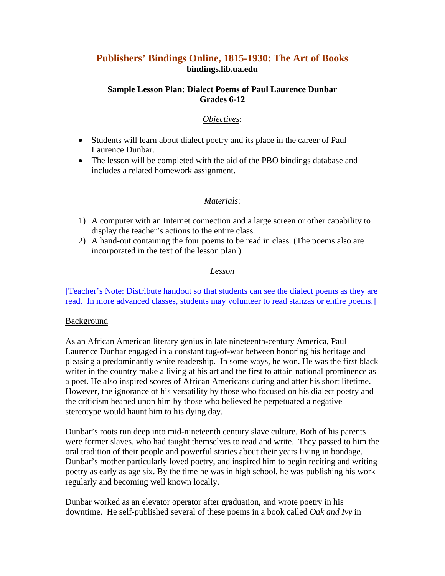# **Publishers' Bindings Online, 1815-1930: The Art of Books bindings.lib.ua.edu**

### **Sample Lesson Plan: Dialect Poems of Paul Laurence Dunbar Grades 6-12**

### *Objectives*:

- Students will learn about dialect poetry and its place in the career of Paul Laurence Dunbar.
- The lesson will be completed with the aid of the PBO bindings database and includes a related homework assignment.

## *Materials*:

- 1) A computer with an Internet connection and a large screen or other capability to display the teacher's actions to the entire class.
- 2) A hand-out containing the four poems to be read in class. (The poems also are incorporated in the text of the lesson plan.)

### *Lesson*

[Teacher's Note: Distribute handout so that students can see the dialect poems as they are read. In more advanced classes, students may volunteer to read stanzas or entire poems.]

### Background

As an African American literary genius in late nineteenth-century America, Paul Laurence Dunbar engaged in a constant tug-of-war between honoring his heritage and pleasing a predominantly white readership. In some ways, he won. He was the first black writer in the country make a living at his art and the first to attain national prominence as a poet. He also inspired scores of African Americans during and after his short lifetime. However, the ignorance of his versatility by those who focused on his dialect poetry and the criticism heaped upon him by those who believed he perpetuated a negative stereotype would haunt him to his dying day.

Dunbar's roots run deep into mid-nineteenth century slave culture. Both of his parents were former slaves, who had taught themselves to read and write. They passed to him the oral tradition of their people and powerful stories about their years living in bondage. Dunbar's mother particularly loved poetry, and inspired him to begin reciting and writing poetry as early as age six. By the time he was in high school, he was publishing his work regularly and becoming well known locally.

Dunbar worked as an elevator operator after graduation, and wrote poetry in his downtime. He self-published several of these poems in a book called *Oak and Ivy* in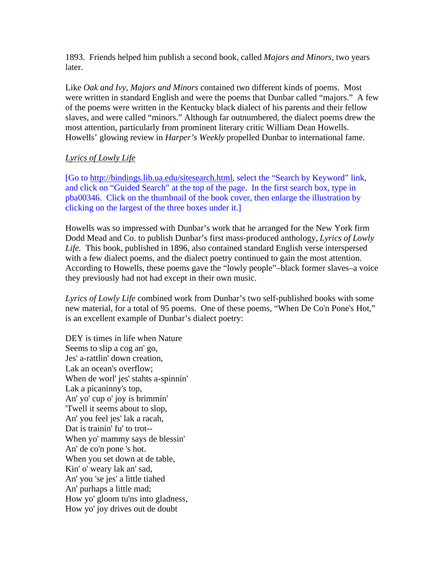1893. Friends helped him publish a second book, called *Majors and Minors*, two years later.

Like *Oak and Ivy*, *Majors and Minors* contained two different kinds of poems. Most were written in standard English and were the poems that Dunbar called "majors." A few of the poems were written in the Kentucky black dialect of his parents and their fellow slaves, and were called "minors." Although far outnumbered, the dialect poems drew the most attention, particularly from prominent literary critic William Dean Howells. Howells' glowing review in *Harper's Weekly* propelled Dunbar to international fame.

## *Lyrics of Lowly Life*

[Go to http://bindings.lib.ua.edu/sitesearch.html, select the "Search by Keyword" link, and click on "Guided Search" at the top of the page. In the first search box, type in pba00346. Click on the thumbnail of the book cover, then enlarge the illustration by clicking on the largest of the three boxes under it.]

Howells was so impressed with Dunbar's work that he arranged for the New York firm Dodd Mead and Co. to publish Dunbar's first mass-produced anthology, *Lyrics of Lowly Life.* This book, published in 1896, also contained standard English verse interspersed with a few dialect poems, and the dialect poetry continued to gain the most attention. According to Howells, these poems gave the "lowly people"–black former slaves–a voice they previously had not had except in their own music.

*Lyrics of Lowly Life* combined work from Dunbar's two self-published books with some new material, for a total of 95 poems. One of these poems, "When De Co'n Pone's Hot," is an excellent example of Dunbar's dialect poetry:

DEY is times in life when Nature Seems to slip a cog an' go, Jes' a-rattlin' down creation, Lak an ocean's overflow; When de worl' jes' stahts a-spinnin' Lak a picaninny's top, An' yo' cup o' joy is brimmin' 'Twell it seems about to slop, An' you feel jes' lak a racah, Dat is trainin' fu' to trot-- When yo' mammy says de blessin' An' de co'n pone 's hot. When you set down at de table, Kin' o' weary lak an' sad, An' you 'se jes' a little tiahed An' purhaps a little mad; How yo' gloom tu'ns into gladness, How yo' joy drives out de doubt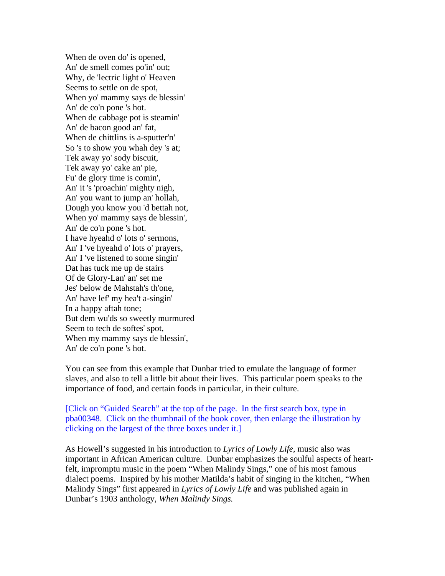When de oven do' is opened, An' de smell comes po'in' out; Why, de 'lectric light o' Heaven Seems to settle on de spot, When yo' mammy says de blessin' An' de co'n pone 's hot. When de cabbage pot is steamin' An' de bacon good an' fat, When de chittlins is a-sputter'n' So 's to show you whah dey 's at; Tek away yo' sody biscuit, Tek away yo' cake an' pie, Fu' de glory time is comin', An' it 's 'proachin' mighty nigh, An' you want to jump an' hollah, Dough you know you 'd bettah not, When yo' mammy says de blessin', An' de co'n pone 's hot. I have hyeahd o' lots o' sermons, An' I 've hyeahd o' lots o' prayers, An' I 've listened to some singin' Dat has tuck me up de stairs Of de Glory-Lan' an' set me Jes' below de Mahstah's th'one, An' have lef' my hea't a-singin' In a happy aftah tone; But dem wu'ds so sweetly murmured Seem to tech de softes' spot, When my mammy says de blessin', An' de co'n pone 's hot.

You can see from this example that Dunbar tried to emulate the language of former slaves, and also to tell a little bit about their lives. This particular poem speaks to the importance of food, and certain foods in particular, in their culture.

[Click on "Guided Search" at the top of the page. In the first search box, type in pba00348. Click on the thumbnail of the book cover, then enlarge the illustration by clicking on the largest of the three boxes under it.]

As Howell's suggested in his introduction to *Lyrics of Lowly Life*, music also was important in African American culture. Dunbar emphasizes the soulful aspects of heartfelt, impromptu music in the poem "When Malindy Sings," one of his most famous dialect poems. Inspired by his mother Matilda's habit of singing in the kitchen, "When Malindy Sings" first appeared in *Lyrics of Lowly Life* and was published again in Dunbar's 1903 anthology, *When Malindy Sings.*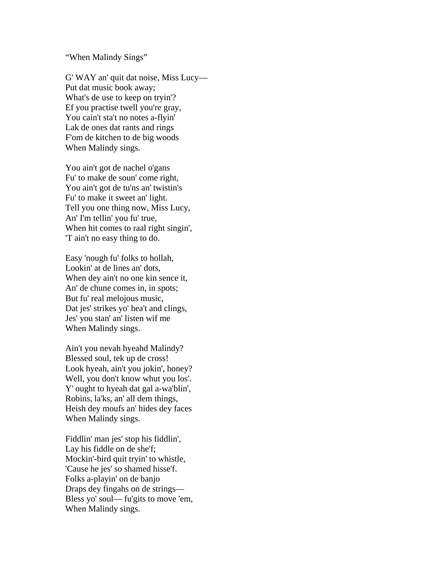#### "When Malindy Sings"

G' WAY an' quit dat noise, Miss Lucy— Put dat music book away; What's de use to keep on tryin'? Ef you practise twell you're gray, You cain't sta't no notes a-flyin' Lak de ones dat rants and rings F'om de kitchen to de big woods When Malindy sings.

You ain't got de nachel o'gans Fu' to make de soun' come right, You ain't got de tu'ns an' twistin's Fu' to make it sweet an' light. Tell you one thing now, Miss Lucy, An' I'm tellin' you fu' true, When hit comes to raal right singin', 'T ain't no easy thing to do.

Easy 'nough fu' folks to hollah, Lookin' at de lines an' dots, When dey ain't no one kin sence it, An' de chune comes in, in spots; But fu' real melojous music, Dat jes' strikes yo' hea't and clings, Jes' you stan' an' listen wif me When Malindy sings.

Ain't you nevah hyeahd Malindy? Blessed soul, tek up de cross! Look hyeah, ain't you jokin', honey? Well, you don't know whut you los'. Y' ought to hyeah dat gal a-wa'blin', Robins, la'ks, an' all dem things, Heish dey moufs an' hides dey faces When Malindy sings.

Fiddlin' man jes' stop his fiddlin', Lay his fiddle on de she'f; Mockin'-bird quit tryin' to whistle, 'Cause he jes' so shamed hisse'f. Folks a-playin' on de banjo Draps dey fingahs on de strings— Bless yo' soul— fu'gits to move 'em, When Malindy sings.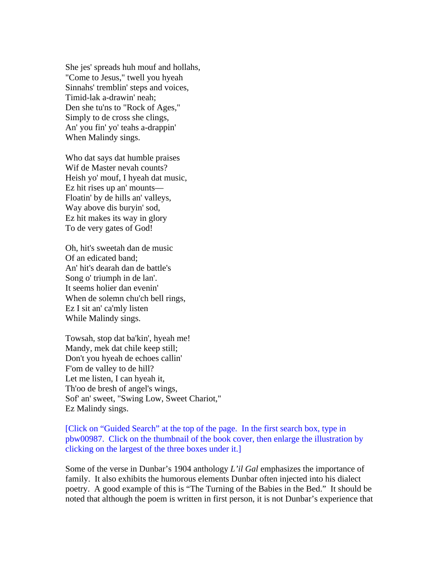She jes' spreads huh mouf and hollahs, "Come to Jesus," twell you hyeah Sinnahs' tremblin' steps and voices, Timid-lak a-drawin' neah; Den she tu'ns to "Rock of Ages," Simply to de cross she clings, An' you fin' yo' teahs a-drappin' When Malindy sings.

Who dat says dat humble praises Wif de Master nevah counts? Heish yo' mouf, I hyeah dat music, Ez hit rises up an' mounts— Floatin' by de hills an' valleys, Way above dis buryin' sod, Ez hit makes its way in glory To de very gates of God!

Oh, hit's sweetah dan de music Of an edicated band; An' hit's dearah dan de battle's Song o' triumph in de lan'. It seems holier dan evenin' When de solemn chu'ch bell rings, Ez I sit an' ca'mly listen While Malindy sings.

Towsah, stop dat ba'kin', hyeah me! Mandy, mek dat chile keep still; Don't you hyeah de echoes callin' F'om de valley to de hill? Let me listen, I can hyeah it, Th'oo de bresh of angel's wings, Sof' an' sweet, "Swing Low, Sweet Chariot," Ez Malindy sings.

[Click on "Guided Search" at the top of the page. In the first search box, type in pbw00987. Click on the thumbnail of the book cover, then enlarge the illustration by clicking on the largest of the three boxes under it.]

Some of the verse in Dunbar's 1904 anthology *L'il Gal* emphasizes the importance of family. It also exhibits the humorous elements Dunbar often injected into his dialect poetry. A good example of this is "The Turning of the Babies in the Bed." It should be noted that although the poem is written in first person, it is not Dunbar's experience that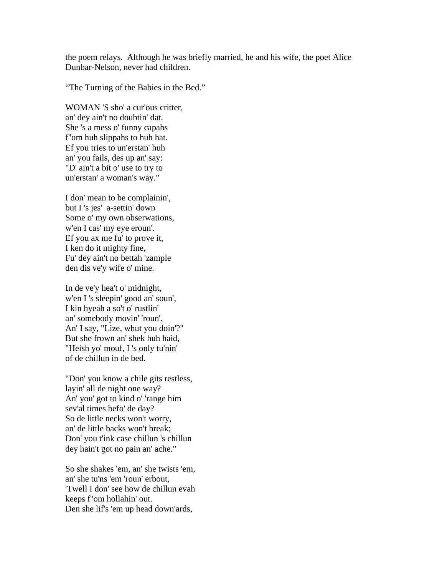the poem relays. Although he was briefly married, he and his wife, the poet Alice Dunbar-Nelson, never had children.

"The Turning of the Babies in the Bed."

WOMAN 'S sho' a cur'ous critter, an' dey ain't no doubtin' dat. She 's a mess o' funny capahs f''om huh slippahs to huh hat. Ef you tries to un'erstan' huh an' you fails, des up an' say: "D' ain't a bit o' use to try to un'erstan' a woman's way."

I don' mean to be complainin', but I 's jes' a-settin' down Some o' my own obserwations, w'en I cas' my eye eroun'. Ef you ax me fu' to prove it, I ken do it mighty fine, Fu' dey ain't no bettah 'zample den dis ve'y wife o' mine.

In de ve'y hea't o' midnight, w'en I 's sleepin' good an' soun', I kin hyeah a so't o' rustlin' an' somebody movin' 'roun'. An' I say, "Lize, whut you doin'?" But she frown an' shek huh haid, "Heish yo' mouf, I 's only tu'nin' of de chillun in de bed.

"Don' you know a chile gits restless, layin' all de night one way? An' you' got to kind o' 'range him sev'al times befo' de day? So de little necks won't worry, an' de little backs won't break; Don' you t'ink case chillun 's chillun dey hain't got no pain an' ache."

So she shakes 'em, an' she twists 'em, an' she tu'ns 'em 'roun' erbout, 'Twell I don' see how de chillun evah keeps f''om hollahin' out. Den she lif's 'em up head down'ards,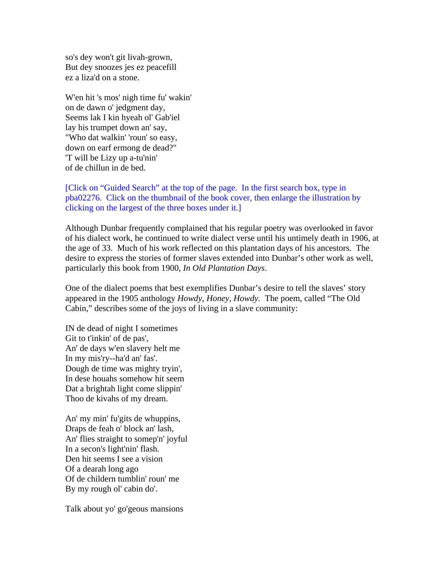so's dey won't git livah-grown, But dey snoozes jes ez peacefill ez a liza'd on a stone.

W'en hit 's mos' nigh time fu' wakin' on de dawn o' jedgment day, Seems lak I kin hyeah ol' Gab'iel lay his trumpet down an' say, "Who dat walkin' 'roun' so easy, down on earf ermong de dead?" 'T will be Lizy up a-tu'nin' of de chillun in de bed.

### [Click on "Guided Search" at the top of the page. In the first search box, type in pba02276. Click on the thumbnail of the book cover, then enlarge the illustration by clicking on the largest of the three boxes under it.]

Although Dunbar frequently complained that his regular poetry was overlooked in favor of his dialect work, he continued to write dialect verse until his untimely death in 1906, at the age of 33. Much of his work reflected on this plantation days of his ancestors. The desire to express the stories of former slaves extended into Dunbar's other work as well, particularly this book from 1900, *In Old Plantation Days*.

One of the dialect poems that best exemplifies Dunbar's desire to tell the slaves' story appeared in the 1905 anthology *Howdy, Honey, Howdy.* The poem, called "The Old Cabin," describes some of the joys of living in a slave community:

IN de dead of night I sometimes Git to t'inkin' of de pas', An' de days w'en slavery helt me In my mis'ry--ha'd an' fas'. Dough de time was mighty tryin', In dese houahs somehow hit seem Dat a brightah light come slippin' Thoo de kivahs of my dream.

An' my min' fu'gits de whuppins, Draps de feah o' block an' lash, An' flies straight to somep'n' joyful In a secon's light'nin' flash. Den hit seems I see a vision Of a dearah long ago Of de childern tumblin' roun' me By my rough ol' cabin do'.

Talk about yo' go'geous mansions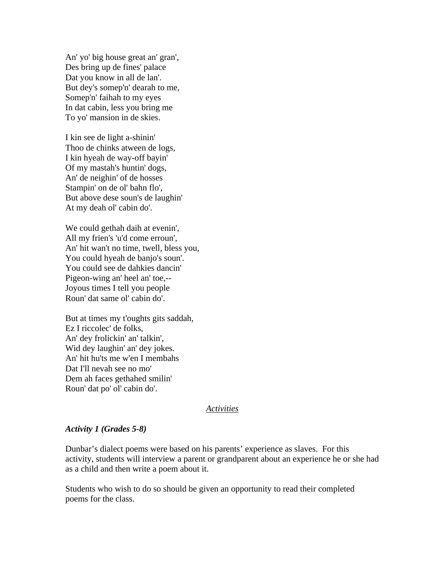An' yo' big house great an' gran', Des bring up de fines' palace Dat you know in all de lan'. But dey's somep'n' dearah to me, Somep'n' faihah to my eyes In dat cabin, less you bring me To yo' mansion in de skies.

I kin see de light a-shinin' Thoo de chinks atween de logs, I kin hyeah de way-off bayin' Of my mastah's huntin' dogs, An' de neighin' of de hosses Stampin' on de ol' bahn flo', But above dese soun's de laughin' At my deah ol' cabin do'.

We could gethah daih at evenin', All my frien's 'u'd come erroun', An' hit wan't no time, twell, bless you, You could hyeah de banjo's soun'. You could see de dahkies dancin' Pigeon-wing an' heel an' toe,-- Joyous times I tell you people Roun' dat same ol' cabin do'.

But at times my t'oughts gits saddah, Ez I riccolec' de folks, An' dey frolickin' an' talkin', Wid dey laughin' an' dey jokes. An' hit hu'ts me w'en I membahs Dat I'll nevah see no mo' Dem ah faces gethahed smilin' Roun' dat po' ol' cabin do'.

#### *Activities*

### *Activity 1 (Grades 5-8)*

Dunbar's dialect poems were based on his parents' experience as slaves. For this activity, students will interview a parent or grandparent about an experience he or she had as a child and then write a poem about it.

Students who wish to do so should be given an opportunity to read their completed poems for the class.